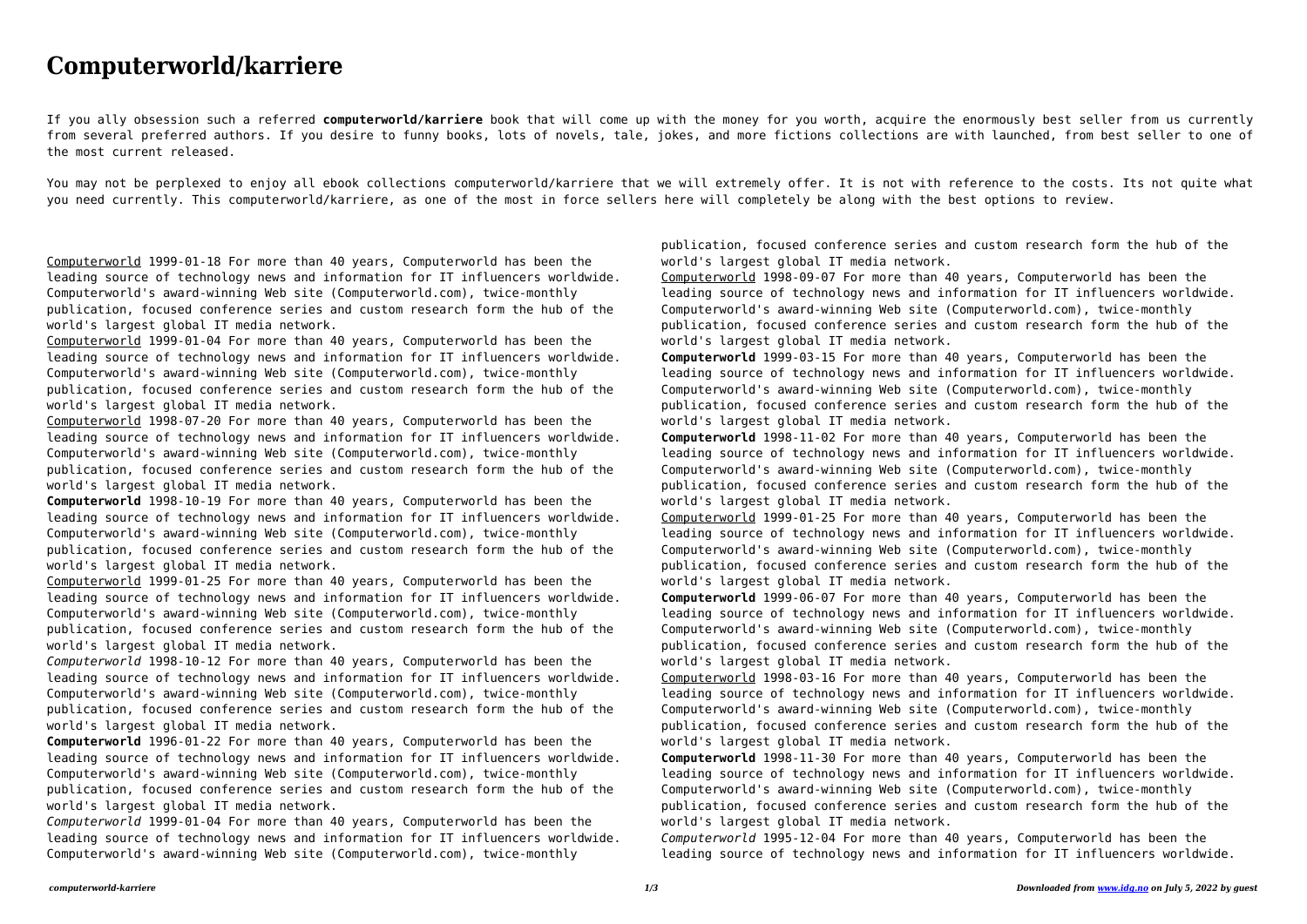## **Computerworld/karriere**

If you ally obsession such a referred **computerworld/karriere** book that will come up with the money for you worth, acquire the enormously best seller from us currently from several preferred authors. If you desire to funny books, lots of novels, tale, jokes, and more fictions collections are with launched, from best seller to one of the most current released.

You may not be perplexed to enjoy all ebook collections computerworld/karriere that we will extremely offer. It is not with reference to the costs. Its not quite what you need currently. This computerworld/karriere, as one of the most in force sellers here will completely be along with the best options to review.

Computerworld 1999-01-18 For more than 40 years, Computerworld has been the leading source of technology news and information for IT influencers worldwide. Computerworld's award-winning Web site (Computerworld.com), twice-monthly publication, focused conference series and custom research form the hub of the world's largest global IT media network.

Computerworld 1999-01-04 For more than 40 years, Computerworld has been the leading source of technology news and information for IT influencers worldwide. Computerworld's award-winning Web site (Computerworld.com), twice-monthly publication, focused conference series and custom research form the hub of the world's largest global IT media network.

Computerworld 1998-07-20 For more than 40 years, Computerworld has been the leading source of technology news and information for IT influencers worldwide. Computerworld's award-winning Web site (Computerworld.com), twice-monthly publication, focused conference series and custom research form the hub of the world's largest global IT media network.

**Computerworld** 1998-10-19 For more than 40 years, Computerworld has been the leading source of technology news and information for IT influencers worldwide. Computerworld's award-winning Web site (Computerworld.com), twice-monthly publication, focused conference series and custom research form the hub of the world's largest global IT media network.

Computerworld 1999-01-25 For more than 40 years, Computerworld has been the leading source of technology news and information for IT influencers worldwide. Computerworld's award-winning Web site (Computerworld.com), twice-monthly publication, focused conference series and custom research form the hub of the world's largest global IT media network.

*Computerworld* 1998-10-12 For more than 40 years, Computerworld has been the leading source of technology news and information for IT influencers worldwide. Computerworld's award-winning Web site (Computerworld.com), twice-monthly publication, focused conference series and custom research form the hub of the world's largest global IT media network.

**Computerworld** 1996-01-22 For more than 40 years, Computerworld has been the leading source of technology news and information for IT influencers worldwide. Computerworld's award-winning Web site (Computerworld.com), twice-monthly publication, focused conference series and custom research form the hub of the world's largest global IT media network.

*Computerworld* 1999-01-04 For more than 40 years, Computerworld has been the leading source of technology news and information for IT influencers worldwide. Computerworld's award-winning Web site (Computerworld.com), twice-monthly

publication, focused conference series and custom research form the hub of the world's largest global IT media network.

Computerworld 1998-09-07 For more than 40 years, Computerworld has been the leading source of technology news and information for IT influencers worldwide. Computerworld's award-winning Web site (Computerworld.com), twice-monthly publication, focused conference series and custom research form the hub of the world's largest global IT media network.

**Computerworld** 1999-03-15 For more than 40 years, Computerworld has been the leading source of technology news and information for IT influencers worldwide. Computerworld's award-winning Web site (Computerworld.com), twice-monthly publication, focused conference series and custom research form the hub of the world's largest global IT media network.

**Computerworld** 1998-11-02 For more than 40 years, Computerworld has been the leading source of technology news and information for IT influencers worldwide. Computerworld's award-winning Web site (Computerworld.com), twice-monthly publication, focused conference series and custom research form the hub of the world's largest global IT media network.

Computerworld 1999-01-25 For more than 40 years, Computerworld has been the leading source of technology news and information for IT influencers worldwide. Computerworld's award-winning Web site (Computerworld.com), twice-monthly publication, focused conference series and custom research form the hub of the world's largest global IT media network.

**Computerworld** 1999-06-07 For more than 40 years, Computerworld has been the leading source of technology news and information for IT influencers worldwide. Computerworld's award-winning Web site (Computerworld.com), twice-monthly publication, focused conference series and custom research form the hub of the world's largest global IT media network.

Computerworld 1998-03-16 For more than 40 years, Computerworld has been the leading source of technology news and information for IT influencers worldwide. Computerworld's award-winning Web site (Computerworld.com), twice-monthly publication, focused conference series and custom research form the hub of the world's largest global IT media network.

**Computerworld** 1998-11-30 For more than 40 years, Computerworld has been the leading source of technology news and information for IT influencers worldwide. Computerworld's award-winning Web site (Computerworld.com), twice-monthly publication, focused conference series and custom research form the hub of the world's largest global IT media network.

*Computerworld* 1995-12-04 For more than 40 years, Computerworld has been the leading source of technology news and information for IT influencers worldwide.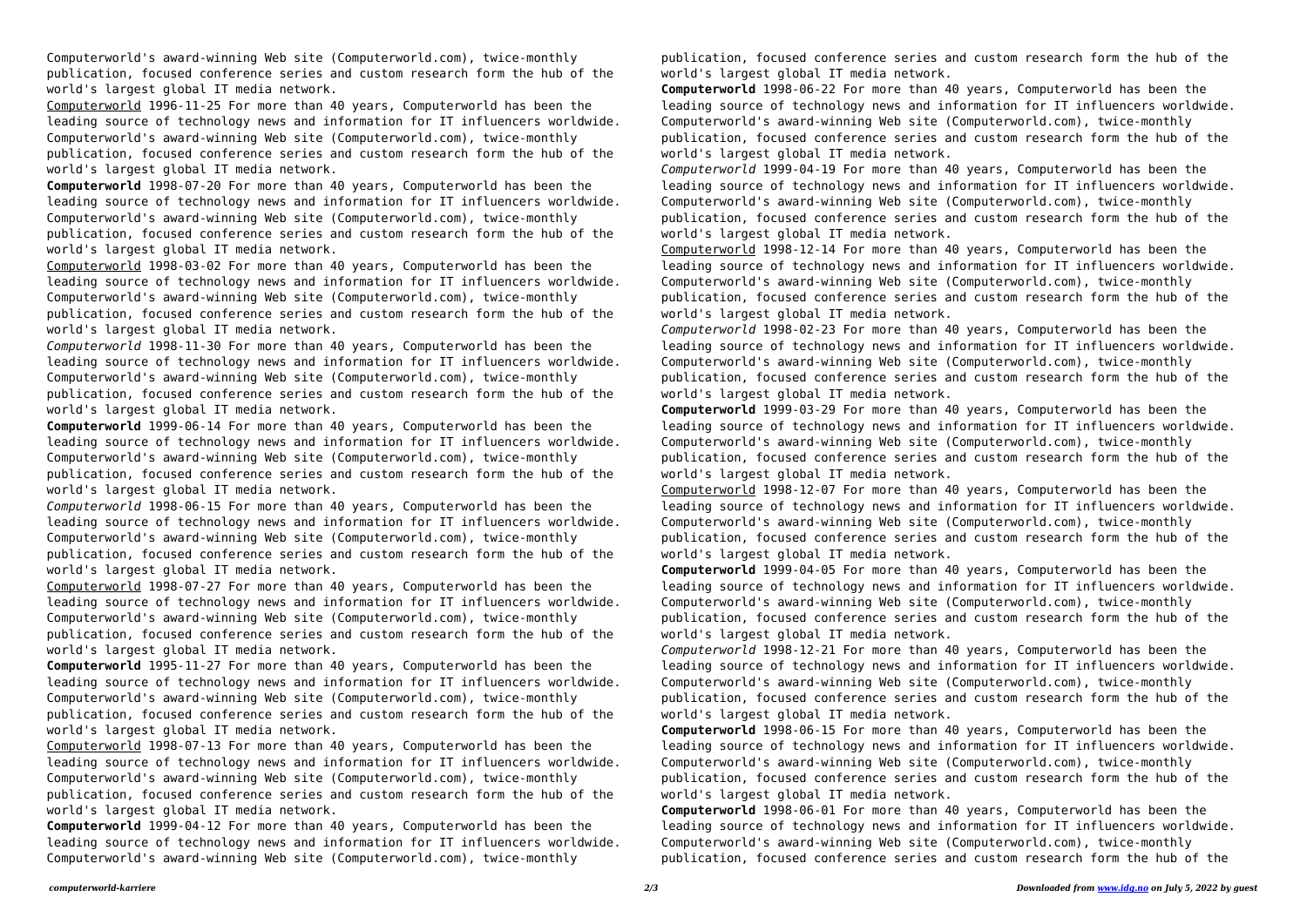Computerworld's award-winning Web site (Computerworld.com), twice-monthly publication, focused conference series and custom research form the hub of the world's largest global IT media network.

Computerworld 1996-11-25 For more than 40 years, Computerworld has been the leading source of technology news and information for IT influencers worldwide. Computerworld's award-winning Web site (Computerworld.com), twice-monthly publication, focused conference series and custom research form the hub of the world's largest global IT media network.

**Computerworld** 1998-07-20 For more than 40 years, Computerworld has been the leading source of technology news and information for IT influencers worldwide. Computerworld's award-winning Web site (Computerworld.com), twice-monthly publication, focused conference series and custom research form the hub of the world's largest global IT media network.

Computerworld 1998-03-02 For more than 40 years, Computerworld has been the leading source of technology news and information for IT influencers worldwide. Computerworld's award-winning Web site (Computerworld.com), twice-monthly publication, focused conference series and custom research form the hub of the world's largest global IT media network.

*Computerworld* 1998-11-30 For more than 40 years, Computerworld has been the leading source of technology news and information for IT influencers worldwide. Computerworld's award-winning Web site (Computerworld.com), twice-monthly publication, focused conference series and custom research form the hub of the world's largest global IT media network.

**Computerworld** 1999-06-14 For more than 40 years, Computerworld has been the leading source of technology news and information for IT influencers worldwide. Computerworld's award-winning Web site (Computerworld.com), twice-monthly publication, focused conference series and custom research form the hub of the world's largest global IT media network.

*Computerworld* 1998-06-15 For more than 40 years, Computerworld has been the leading source of technology news and information for IT influencers worldwide. Computerworld's award-winning Web site (Computerworld.com), twice-monthly publication, focused conference series and custom research form the hub of the world's largest global IT media network.

Computerworld 1998-07-27 For more than 40 years, Computerworld has been the leading source of technology news and information for IT influencers worldwide. Computerworld's award-winning Web site (Computerworld.com), twice-monthly publication, focused conference series and custom research form the hub of the world's largest global IT media network.

**Computerworld** 1995-11-27 For more than 40 years, Computerworld has been the leading source of technology news and information for IT influencers worldwide. Computerworld's award-winning Web site (Computerworld.com), twice-monthly publication, focused conference series and custom research form the hub of the world's largest global IT media network.

Computerworld 1998-07-13 For more than 40 years, Computerworld has been the leading source of technology news and information for IT influencers worldwide. Computerworld's award-winning Web site (Computerworld.com), twice-monthly publication, focused conference series and custom research form the hub of the world's largest global IT media network.

**Computerworld** 1999-04-12 For more than 40 years, Computerworld has been the leading source of technology news and information for IT influencers worldwide. Computerworld's award-winning Web site (Computerworld.com), twice-monthly

publication, focused conference series and custom research form the hub of the world's largest global IT media network.

**Computerworld** 1998-06-22 For more than 40 years, Computerworld has been the leading source of technology news and information for IT influencers worldwide. Computerworld's award-winning Web site (Computerworld.com), twice-monthly publication, focused conference series and custom research form the hub of the world's largest global IT media network.

*Computerworld* 1999-04-19 For more than 40 years, Computerworld has been the leading source of technology news and information for IT influencers worldwide. Computerworld's award-winning Web site (Computerworld.com), twice-monthly publication, focused conference series and custom research form the hub of the world's largest global IT media network.

Computerworld 1998-12-14 For more than 40 years, Computerworld has been the leading source of technology news and information for IT influencers worldwide. Computerworld's award-winning Web site (Computerworld.com), twice-monthly publication, focused conference series and custom research form the hub of the world's largest global IT media network.

*Computerworld* 1998-02-23 For more than 40 years, Computerworld has been the leading source of technology news and information for IT influencers worldwide. Computerworld's award-winning Web site (Computerworld.com), twice-monthly publication, focused conference series and custom research form the hub of the world's largest global IT media network.

**Computerworld** 1999-03-29 For more than 40 years, Computerworld has been the leading source of technology news and information for IT influencers worldwide. Computerworld's award-winning Web site (Computerworld.com), twice-monthly publication, focused conference series and custom research form the hub of the world's largest global IT media network.

Computerworld 1998-12-07 For more than 40 years, Computerworld has been the leading source of technology news and information for IT influencers worldwide. Computerworld's award-winning Web site (Computerworld.com), twice-monthly publication, focused conference series and custom research form the hub of the world's largest global IT media network.

**Computerworld** 1999-04-05 For more than 40 years, Computerworld has been the leading source of technology news and information for IT influencers worldwide. Computerworld's award-winning Web site (Computerworld.com), twice-monthly publication, focused conference series and custom research form the hub of the world's largest global IT media network.

*Computerworld* 1998-12-21 For more than 40 years, Computerworld has been the leading source of technology news and information for IT influencers worldwide. Computerworld's award-winning Web site (Computerworld.com), twice-monthly publication, focused conference series and custom research form the hub of the world's largest global IT media network.

**Computerworld** 1998-06-15 For more than 40 years, Computerworld has been the leading source of technology news and information for IT influencers worldwide. Computerworld's award-winning Web site (Computerworld.com), twice-monthly publication, focused conference series and custom research form the hub of the world's largest global IT media network.

**Computerworld** 1998-06-01 For more than 40 years, Computerworld has been the leading source of technology news and information for IT influencers worldwide. Computerworld's award-winning Web site (Computerworld.com), twice-monthly publication, focused conference series and custom research form the hub of the